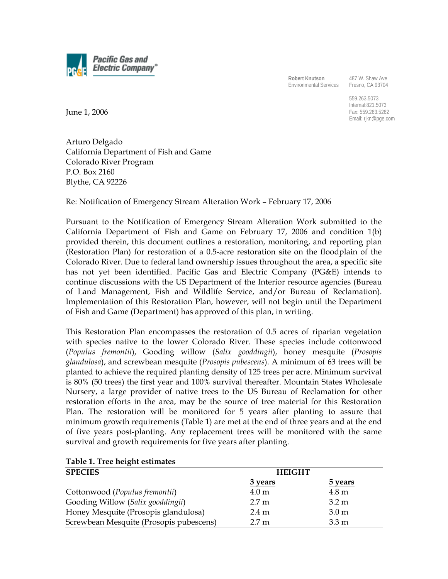

**Robert Knutson**  Environmental Services

487 W. Shaw Ave Fresno, CA 93704

559.263.5073 Internal:821.5073 Fax: 559.263.5262 Email: rjkn@pge.com

June 1, 2006

Arturo Delgado California Department of Fish and Game Colorado River Program P.O. Box 2160 Blythe, CA 92226

Re: Notification of Emergency Stream Alteration Work – February 17, 2006

Pursuant to the Notification of Emergency Stream Alteration Work submitted to the California Department of Fish and Game on February 17, 2006 and condition 1(b) provided therein, this document outlines a restoration, monitoring, and reporting plan (Restoration Plan) for restoration of a 0.5-acre restoration site on the floodplain of the Colorado River. Due to federal land ownership issues throughout the area, a specific site has not yet been identified. Pacific Gas and Electric Company (PG&E) intends to continue discussions with the US Department of the Interior resource agencies (Bureau of Land Management, Fish and Wildlife Service, and/or Bureau of Reclamation). Implementation of this Restoration Plan, however, will not begin until the Department of Fish and Game (Department) has approved of this plan, in writing.

This Restoration Plan encompasses the restoration of 0.5 acres of riparian vegetation with species native to the lower Colorado River. These species include cottonwood (*Populus fremontii*), Gooding willow (*Salix gooddingii*), honey mesquite (*Prosopis glandulosa*), and screwbean mesquite (*Prosopis pubescens*). A minimum of 63 trees will be planted to achieve the required planting density of 125 trees per acre. Minimum survival is 80% (50 trees) the first year and 100% survival thereafter. Mountain States Wholesale Nursery, a large provider of native trees to the US Bureau of Reclamation for other restoration efforts in the area, may be the source of tree material for this Restoration Plan. The restoration will be monitored for 5 years after planting to assure that minimum growth requirements (Table 1) are met at the end of three years and at the end of five years post-planting. Any replacement trees will be monitored with the same survival and growth requirements for five years after planting.

| <b>SPECIES</b>                          | <b>HEIGHT</b>    |                  |
|-----------------------------------------|------------------|------------------|
|                                         | 3 years          | <b>5</b> years   |
| Cottonwood (Populus fremontii)          | 4.0 <sub>m</sub> | $4.8 \text{ m}$  |
| Gooding Willow (Salix gooddingii)       | 2.7 <sub>m</sub> | $3.2 \text{ m}$  |
| Honey Mesquite (Prosopis glandulosa)    | $2.4 \text{ m}$  | 3.0 <sub>m</sub> |
| Screwbean Mesquite (Prosopis pubescens) | 2.7 <sub>m</sub> | 3.3 <sub>m</sub> |

# **Table 1. Tree height estimates**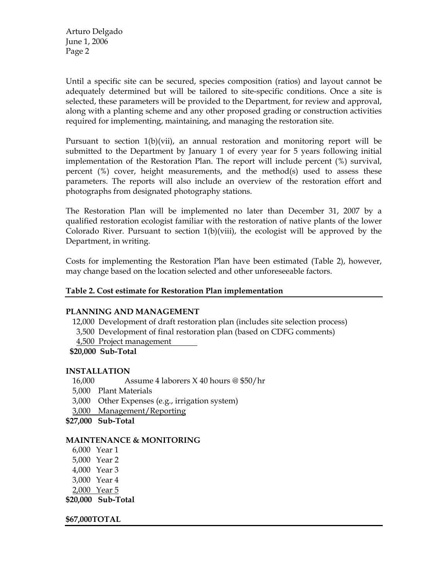Arturo Delgado June 1, 2006 Page 2

Until a specific site can be secured, species composition (ratios) and layout cannot be adequately determined but will be tailored to site-specific conditions. Once a site is selected, these parameters will be provided to the Department, for review and approval, along with a planting scheme and any other proposed grading or construction activities required for implementing, maintaining, and managing the restoration site.

Pursuant to section  $1(b)(vii)$ , an annual restoration and monitoring report will be submitted to the Department by January 1 of every year for 5 years following initial implementation of the Restoration Plan. The report will include percent (%) survival, percent (%) cover, height measurements, and the method(s) used to assess these parameters. The reports will also include an overview of the restoration effort and photographs from designated photography stations.

The Restoration Plan will be implemented no later than December 31, 2007 by a qualified restoration ecologist familiar with the restoration of native plants of the lower Colorado River. Pursuant to section  $1(b)(viii)$ , the ecologist will be approved by the Department, in writing.

Costs for implementing the Restoration Plan have been estimated (Table 2), however, may change based on the location selected and other unforeseeable factors.

# **Table 2. Cost estimate for Restoration Plan implementation**

## **PLANNING AND MANAGEMENT**

12,000 Development of draft restoration plan (includes site selection process)

3,500 Development of final restoration plan (based on CDFG comments)

4,500 Project management

**\$20,000 Sub-Total** 

## **INSTALLATION**

- 16,000 Assume 4 laborers X 40 hours @ \$50/hr
- 5,000 Plant Materials
- 3,000 Other Expenses (e.g., irrigation system)
- 3,000 Management/Reporting
- **\$27,000 Sub-Total**

## **MAINTENANCE & MONITORING**

- 6,000 Year 1
- 5,000 Year 2
- 4,000 Year 3
- 3,000 Year 4
- 2,000 Year 5

**\$20,000 Sub-Total** 

**\$67,000 TOTAL**